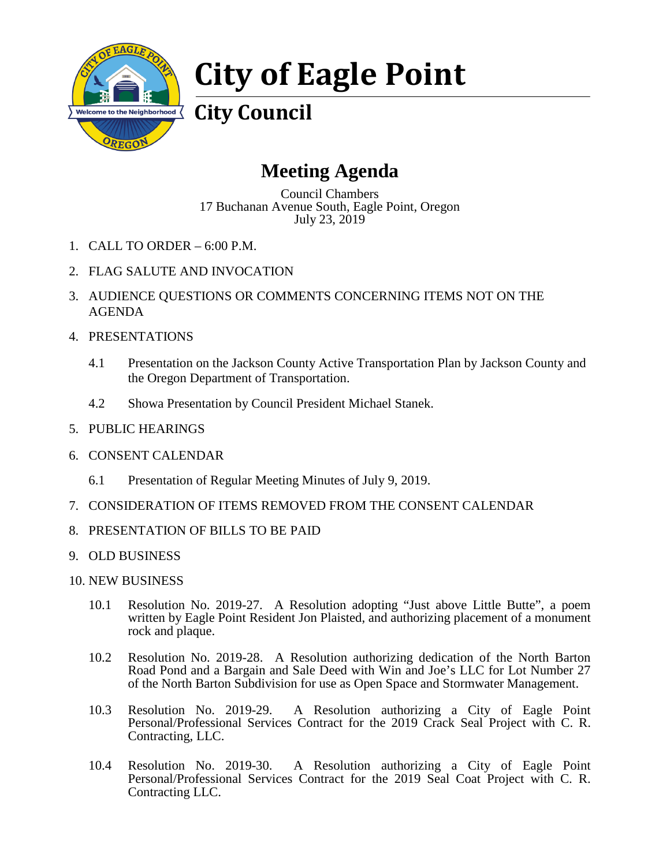

# **City of Eagle Point**

**City Council**

## **Meeting Agenda**

Council Chambers 17 Buchanan Avenue South, Eagle Point, Oregon July 23, 2019

- 1. CALL TO ORDER 6:00 P.M.
- 2. FLAG SALUTE AND INVOCATION
- 3. AUDIENCE QUESTIONS OR COMMENTS CONCERNING ITEMS NOT ON THE AGENDA
- 4. PRESENTATIONS
	- 4.1 Presentation on the Jackson County Active Transportation Plan by Jackson County and the Oregon Department of Transportation.
	- 4.2 Showa Presentation by Council President Michael Stanek.
- 5. PUBLIC HEARINGS
- 6. CONSENT CALENDAR
	- 6.1 Presentation of Regular Meeting Minutes of July 9, 2019.
- 7. CONSIDERATION OF ITEMS REMOVED FROM THE CONSENT CALENDAR
- 8. PRESENTATION OF BILLS TO BE PAID
- 9. OLD BUSINESS
- 10. NEW BUSINESS
	- 10.1 Resolution No. 2019-27. A Resolution adopting "Just above Little Butte", a poem written by Eagle Point Resident Jon Plaisted, and authorizing placement of a monument rock and plaque.
	- 10.2 Resolution No. 2019-28. A Resolution authorizing dedication of the North Barton Road Pond and a Bargain and Sale Deed with Win and Joe's LLC for Lot Number 27 of the North Barton Subdivision for use as Open Space and Stormwater Management.
	- 10.3 Resolution No. 2019-29. A Resolution authorizing a City of Eagle Point Personal/Professional Services Contract for the 2019 Crack Seal Project with C. R. Contracting, LLC.
	- 10.4 Resolution No. 2019-30. A Resolution authorizing a City of Eagle Point Personal/Professional Services Contract for the 2019 Seal Coat Project with C. R. Contracting LLC.